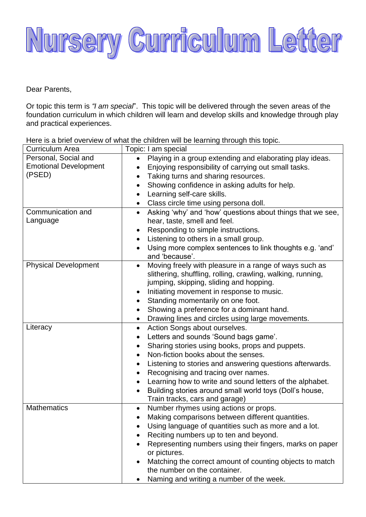

Dear Parents,

Or topic this term is *"I am special*". This topic will be delivered through the seven areas of the foundation curriculum in which children will learn and develop skills and knowledge through play and practical experiences.

Here is a brief overview of what the children will be learning through this topic.<br>  $\sqrt{\frac{C_{\text{trivial}}}{C_{\text{trivial}}}}$ 

| <b>Curriculum Area</b>       | Topic: I am special                                                     |
|------------------------------|-------------------------------------------------------------------------|
| Personal, Social and         | Playing in a group extending and elaborating play ideas.                |
| <b>Emotional Development</b> | Enjoying responsibility of carrying out small tasks.                    |
| (PSED)                       | Taking turns and sharing resources.<br>$\bullet$                        |
|                              | Showing confidence in asking adults for help.                           |
|                              | Learning self-care skills.<br>$\bullet$                                 |
|                              | Class circle time using persona doll.<br>$\bullet$                      |
| Communication and            | Asking 'why' and 'how' questions about things that we see,<br>$\bullet$ |
| Language                     | hear, taste, smell and feel.                                            |
|                              | Responding to simple instructions.                                      |
|                              | Listening to others in a small group.<br>$\bullet$                      |
|                              | Using more complex sentences to link thoughts e.g. 'and'                |
|                              | and 'because'.                                                          |
| <b>Physical Development</b>  | Moving freely with pleasure in a range of ways such as                  |
|                              | slithering, shuffling, rolling, crawling, walking, running,             |
|                              | jumping, skipping, sliding and hopping.                                 |
|                              | Initiating movement in response to music.                               |
|                              | Standing momentarily on one foot.<br>$\bullet$                          |
|                              | Showing a preference for a dominant hand.<br>$\bullet$                  |
|                              | Drawing lines and circles using large movements.<br>$\bullet$           |
| Literacy                     | Action Songs about ourselves.<br>$\bullet$                              |
|                              | Letters and sounds 'Sound bags game'.                                   |
|                              | Sharing stories using books, props and puppets.<br>$\bullet$            |
|                              | Non-fiction books about the senses.                                     |
|                              | Listening to stories and answering questions afterwards.<br>$\bullet$   |
|                              | Recognising and tracing over names.<br>٠                                |
|                              | Learning how to write and sound letters of the alphabet.<br>$\bullet$   |
|                              | Building stories around small world toys (Doll's house,                 |
|                              | Train tracks, cars and garage)                                          |
| <b>Mathematics</b>           | Number rhymes using actions or props.<br>$\bullet$                      |
|                              | Making comparisons between different quantities.                        |
|                              | Using language of quantities such as more and a lot.                    |
|                              | Reciting numbers up to ten and beyond.                                  |
|                              | Representing numbers using their fingers, marks on paper                |
|                              | or pictures.                                                            |
|                              | Matching the correct amount of counting objects to match                |
|                              | the number on the container.                                            |
|                              | Naming and writing a number of the week.                                |